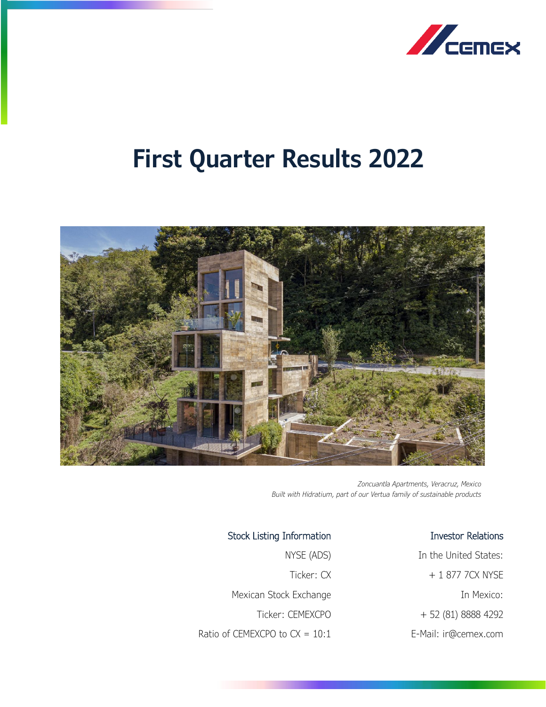

# **First Quarter Results 2022**



*Zoncuantla Apartments, Veracruz, Mexico Built with Hidratium, part of our Vertua family of sustainable products*

Stock Listing Information NYSE (ADS) Ticker: CX Mexican Stock Exchange Ticker: CEMEXCPO Ratio of CEMEXCPO to  $CX = 10:1$ 

## Investor Relations

In the United States: + 1 877 7CX NYSE In Mexico: + 52 (81) 8888 4292 E-Mail: ir@cemex.com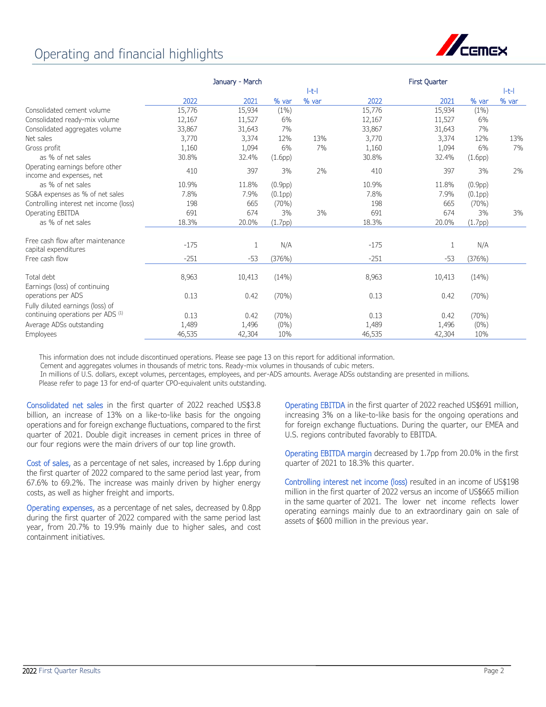## Operating and financial highlights



|                                                                          | January - March |               |                  |                | First Quarter |               |                  |                |
|--------------------------------------------------------------------------|-----------------|---------------|------------------|----------------|---------------|---------------|------------------|----------------|
|                                                                          |                 |               |                  | H <sub>1</sub> |               |               |                  | H <sub>1</sub> |
|                                                                          | 2022            | 2021          | % var            | % var          | 2022          | 2021          | % var            | % var          |
| Consolidated cement volume                                               | 15,776          | 15,934        | $(1\%)$          |                | 15,776        | 15,934        | $(1\%)$          |                |
| Consolidated ready-mix volume                                            | 12,167          | 11,527        | 6%               |                | 12,167        | 11,527        | 6%               |                |
| Consolidated aggregates volume                                           | 33,867          | 31,643        | 7%               |                | 33,867        | 31,643        | 7%               |                |
| Net sales                                                                | 3,770           | 3,374         | 12%              | 13%            | 3,770         | 3,374         | 12%              | 13%            |
| Gross profit                                                             | 1,160           | 1,094         | 6%               | 7%             | 1,160         | 1,094         | 6%               | 7%             |
| as % of net sales                                                        | 30.8%           | 32.4%         | (1.6pp)          |                | 30.8%         | 32.4%         | (1.6pp)          |                |
| Operating earnings before other<br>income and expenses, net              | 410             | 397           | 3%               | 2%             | 410           | 397           | 3%               | 2%             |
| as % of net sales                                                        | 10.9%           | 11.8%         | (0.9pp)          |                | 10.9%         | 11.8%         | (0.9pp)          |                |
| SG&A expenses as % of net sales                                          | 7.8%            | 7.9%          | (0.1pp)          |                | 7.8%          | 7.9%          | (0.1pp)          |                |
| Controlling interest net income (loss)                                   | 198             | 665           | $(70\%)$         |                | 198           | 665           | (70%)            |                |
| Operating EBITDA                                                         | 691             | 674           | 3%               | 3%             | 691           | 674           | 3%               | 3%             |
| as % of net sales                                                        | 18.3%           | 20.0%         | (1.7pp)          |                | 18.3%         | 20.0%         | (1.7pp)          |                |
| Free cash flow after maintenance<br>capital expenditures                 | $-175$          | 1             | N/A              |                | $-175$        | 1             | N/A              |                |
| Free cash flow                                                           | $-251$          | $-53$         | (376%)           |                | $-251$        | $-53$         | (376%)           |                |
| Total debt<br>Earnings (loss) of continuing                              | 8,963           | 10,413        | (14%)            |                | 8,963         | 10,413        | (14%)            |                |
| operations per ADS<br>Fully diluted earnings (loss) of                   | 0.13            | 0.42          | (70%)            |                | 0.13          | 0.42          | (70%)            |                |
| continuing operations per ADS <sup>(1)</sup><br>Average ADSs outstanding | 0.13<br>1,489   | 0.42<br>1,496 | (70%)<br>$(0\%)$ |                | 0.13<br>1,489 | 0.42<br>1,496 | (70%)<br>$(0\%)$ |                |
| Employees                                                                | 46,535          | 42,304        | 10%              |                | 46,535        | 42,304        | 10%              |                |

This information does not include discontinued operations. Please see page 13 on this report for additional information.

Cement and aggregates volumes in thousands of metric tons. Ready-mix volumes in thousands of cubic meters.

In millions of U.S. dollars, except volumes, percentages, employees, and per-ADS amounts. Average ADSs outstanding are presented in millions.

Please refer to page 13 for end-of quarter CPO-equivalent units outstanding.

Consolidated net sales in the first quarter of 2022 reached US\$3.8 billion, an increase of 13% on a like-to-like basis for the ongoing operations and for foreign exchange fluctuations, compared to the first quarter of 2021. Double digit increases in cement prices in three of our four regions were the main drivers of our top line growth.

Cost of sales, as a percentage of net sales, increased by 1.6pp during the first quarter of 2022 compared to the same period last year, from 67.6% to 69.2%. The increase was mainly driven by higher energy costs, as well as higher freight and imports.

Operating expenses, as a percentage of net sales, decreased by 0.8pp during the first quarter of 2022 compared with the same period last year, from 20.7% to 19.9% mainly due to higher sales, and cost containment initiatives.

Operating EBITDA in the first quarter of 2022 reached US\$691 million, increasing 3% on a like-to-like basis for the ongoing operations and for foreign exchange fluctuations. During the quarter, our EMEA and U.S. regions contributed favorably to EBITDA.

Operating EBITDA margin decreased by 1.7pp from 20.0% in the first quarter of 2021 to 18.3% this quarter.

Controlling interest net income (loss) resulted in an income of US\$198 million in the first quarter of 2022 versus an income of US\$665 million in the same quarter of 2021. The lower net income reflects lower operating earnings mainly due to an extraordinary gain on sale of assets of \$600 million in the previous year.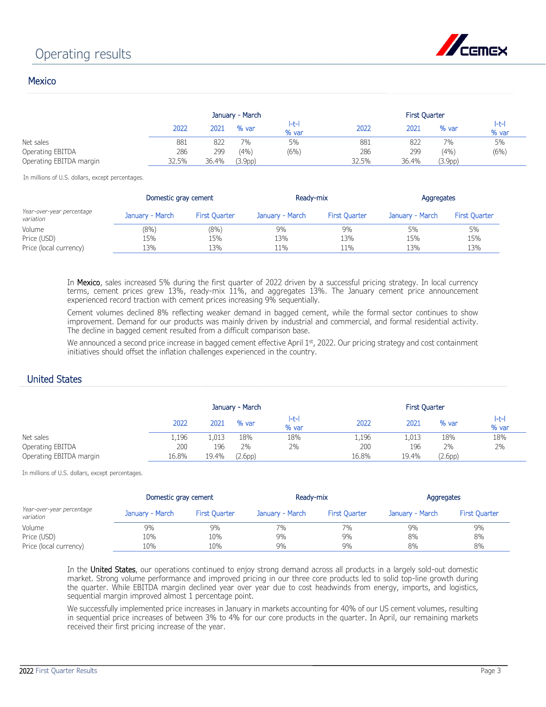

## **Mexico**

|                         |       | January - March |                      |                     |       | <b>First Quarter</b> |         |                |  |  |
|-------------------------|-------|-----------------|----------------------|---------------------|-------|----------------------|---------|----------------|--|--|
|                         | 2022  | 2021            | % var                | $  -t -  $<br>% var | 2022  | 2021                 | % var   | l-t-l<br>% var |  |  |
| Net sales               | 881   | 822             | $7\%$                | 5%                  | 881   | 822                  | 7%      | 5%             |  |  |
| Operating EBITDA        | 286   | 299             | (4% )                | (6%)                | 286   | 299                  | (4% )   | (6%)           |  |  |
| Operating EBITDA margin | 32.5% | 36.4%           | (3.9 <sub>DP</sub> ) |                     | 32.5% | 36.4%                | (3.9pp) |                |  |  |

In millions of U.S. dollars, except percentages.

|                                        | Domestic gray cement |                      | Ready-mix       |                      | Aggregates      |                      |  |
|----------------------------------------|----------------------|----------------------|-----------------|----------------------|-----------------|----------------------|--|
| Year-over-year percentage<br>variation | January - March      | <b>First Quarter</b> | January - March | <b>First Ouarter</b> | January - March | <b>First Ouarter</b> |  |
| Volume                                 | (8%)                 | (8%)                 | 9%              | 9%                   | 5%              | 5%                   |  |
| Price (USD)                            | 15%                  | 15%                  | 13%             | 13%                  | 15%             | 15%                  |  |
| Price (local currency)                 | 13%                  | 13%                  | 11%             | 11%                  | 13%             | 13%                  |  |

In Mexico, sales increased 5% during the first quarter of 2022 driven by a successful pricing strategy. In local currency terms, cement prices grew 13%, ready-mix 11%, and aggregates 13%. The January cement price announcement experienced record traction with cement prices increasing 9% sequentially.

Cement volumes declined 8% reflecting weaker demand in bagged cement, while the formal sector continues to show improvement. Demand for our products was mainly driven by industrial and commercial, and formal residential activity. The decline in bagged cement resulted from a difficult comparison base.

We announced a second price increase in bagged cement effective April 1st, 2022. Our pricing strategy and cost containment initiatives should offset the inflation challenges experienced in the country.

## United States

|                         | January - March |       |         |            | <b>First Quarter</b> |       |         |                  |  |
|-------------------------|-----------------|-------|---------|------------|----------------------|-------|---------|------------------|--|
|                         | 2022            | 2021  | % var   | H<br>% var | 2022                 | 2021  | % var   | $I-t-1$<br>% var |  |
| Net sales               | 1,196           | 1,013 | 18%     | 18%        | 1,196                | 1,013 | 18%     | 18%              |  |
| Operating EBITDA        | 200             | 196   | 2%      | 2%         | 200                  | 196   | 2%      | 2%               |  |
| Operating EBITDA margin | 16.8%           | 19.4% | (2.6pp) |            | 16.8%                | 19.4% | (2.6pp) |                  |  |

In millions of U.S. dollars, except percentages.

|                                        | Domestic gray cement |                      | Ready-mix       |                      | Aggregates      |                      |  |
|----------------------------------------|----------------------|----------------------|-----------------|----------------------|-----------------|----------------------|--|
| Year-over-year percentage<br>variation | January - March      | <b>First Ouarter</b> | January - March | <b>First Quarter</b> | January - March | <b>First Quarter</b> |  |
| Volume                                 | 9%                   | 9%                   | 7%              | 7%                   | 9%              | 9%                   |  |
| Price (USD)                            | 10%                  | 10%                  | 9%              | 9%                   | 8%              | 8%                   |  |
| Price (local currency)                 | 10%                  | 10%                  | 9%              | 9%                   | 8%              | 8%                   |  |

In the United States, our operations continued to enjoy strong demand across all products in a largely sold-out domestic market. Strong volume performance and improved pricing in our three core products led to solid top-line growth during the quarter. While EBITDA margin declined year over year due to cost headwinds from energy, imports, and logistics, sequential margin improved almost 1 percentage point.

We successfully implemented price increases in January in markets accounting for 40% of our US cement volumes, resulting in sequential price increases of between 3% to 4% for our core products in the quarter. In April, our remaining markets received their first pricing increase of the year.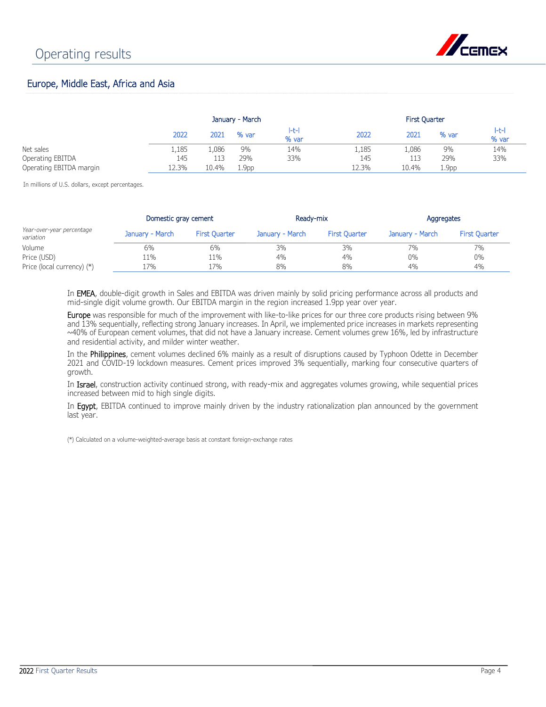

## Europe, Middle East, Africa and Asia

|                         |       | January - March |                   |                |       | <b>First Quarter</b> |                   |                |  |
|-------------------------|-------|-----------------|-------------------|----------------|-------|----------------------|-------------------|----------------|--|
|                         | 2022  | 2021            | % var             | l-t-l<br>% var | 2022  | 2021                 | % var             | l-t-l<br>% var |  |
| Net sales               | 1,185 | 1,086           | 9%                | 14%            | 1,185 | .086                 | 9%                | 14%            |  |
| Operating EBITDA        | 145   | 113             | 29%               | 33%            | 145   | 113                  | 29%               | 33%            |  |
| Operating EBITDA margin | 12.3% | 10.4%           | 1.9 <sub>pp</sub> |                | 12.3% | 10.4%                | 1.9 <sub>pp</sub> |                |  |

In millions of U.S. dollars, except percentages.

|                                        | Domestic gray cement |                      | Ready-mix       |                      | Aggregates      |                      |  |
|----------------------------------------|----------------------|----------------------|-----------------|----------------------|-----------------|----------------------|--|
| Year-over-year percentage<br>variation | January - March      | <b>First Quarter</b> | January - March | <b>First Quarter</b> | January - March | <b>First Quarter</b> |  |
| Volume                                 | 6%                   | 6%                   | 3%              | 3%                   | 7%              | 7%                   |  |
| Price (USD)                            | 11%                  | 11%                  | 4%              | $4\%$                | $0\%$           | $0\%$                |  |
| Price (local currency) (*)             | 17%                  | 17%                  | 8%              | 8%                   | 4%              | 4%                   |  |

In EMEA, double-digit growth in Sales and EBITDA was driven mainly by solid pricing performance across all products and mid-single digit volume growth. Our EBITDA margin in the region increased 1.9pp year over year.

Europe was responsible for much of the improvement with like-to-like prices for our three core products rising between 9% and 13% sequentially, reflecting strong January increases. In April, we implemented price increases in markets representing ~40% of European cement volumes, that did not have a January increase. Cement volumes grew 16%, led by infrastructure and residential activity, and milder winter weather.

In the Philippines, cement volumes declined 6% mainly as a result of disruptions caused by Typhoon Odette in December 2021 and COVID-19 lockdown measures. Cement prices improved 3% sequentially, marking four consecutive quarters of growth.

In Israel, construction activity continued strong, with ready-mix and aggregates volumes growing, while sequential prices increased between mid to high single digits.

In Egypt, EBITDA continued to improve mainly driven by the industry rationalization plan announced by the government last year.

(\*) Calculated on a volume-weighted-average basis at constant foreign-exchange rates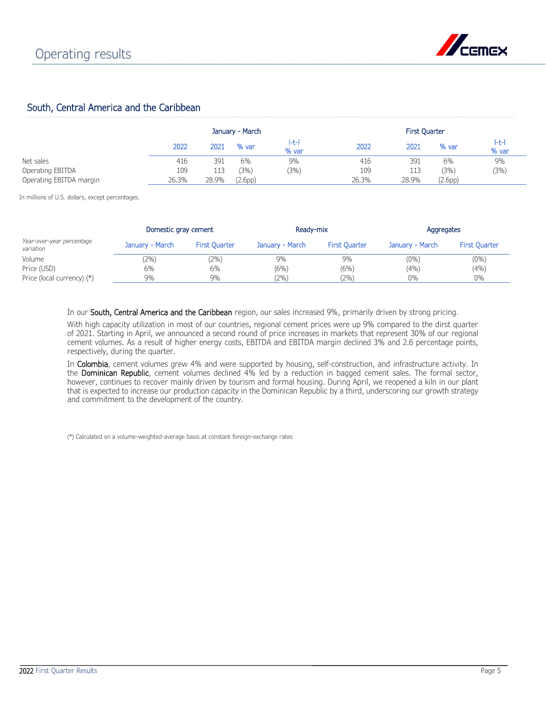

## South, Central America and the Caribbean

|                         | January - March |       |         |            |       |       |                      |                |
|-------------------------|-----------------|-------|---------|------------|-------|-------|----------------------|----------------|
|                         | 2022            | 2021  | % var   | H<br>% var | 2022  | 2021  | % var                | l-t-l<br>% var |
| Net sales               | 416             | 391   | 6%      | 9%         | 416   | 391   | 6%                   | 9%             |
| Operating EBITDA        | 109             | 113   | (3%)    | (3%)       | 109   | 113   | (3%)                 | (3%)           |
| Operating EBITDA margin | 26.3%           | 28.9% | (2.6pp) |            | 26.3% | 28.9% | (2.6 <sub>DD</sub> ) |                |

In millions of U.S. dollars, except percentages.

|                                        | Domestic gray cement |                      | Ready-mix       |                      | Aggregates      |                      |  |
|----------------------------------------|----------------------|----------------------|-----------------|----------------------|-----------------|----------------------|--|
| Year-over-year percentage<br>variation | January - March      | <b>First Ouarter</b> | January - March | <b>First Ouarter</b> | January - March | <b>First Ouarter</b> |  |
| Volume                                 | $2\%)$               | $(2\%)$              | 9%              | 9%                   | $(0\%)$         | $(0\%)$              |  |
| Price (USD)                            | 6%                   | 6%                   | (6%)            | (6%)                 | (4%)            | (4% )                |  |
| Price (local currency) (*)             | 9%                   | 9%                   | (2%)            | (2%)                 | $0\%$           | $0\%$                |  |

In our South, Central America and the Caribbean region, our sales increased 9%, primarily driven by strong pricing.

With high capacity utilization in most of our countries, regional cement prices were up 9% compared to the dirst quarter of 2021. Starting in April, we announced a second round of price increases in markets that represent 30% of our regional cement volumes. As a result of higher energy costs, EBITDA and EBITDA margin declined 3% and 2.6 percentage points, respectively, during the quarter.

In Colombia, cement volumes grew 4% and were supported by housing, self-construction, and infrastructure activity. In the Dominican Republic, cement volumes declined 4% led by a reduction in bagged cement sales. The formal sector, however, continues to recover mainly driven by tourism and formal housing. During April, we reopened a kiln in our plant that is expected to increase our production capacity in the Dominican Republic by a third, underscoring our growth strategy and commitment to the development of the country.

(\*) Calculated on a volume-weighted-average basis at constant foreign-exchange rates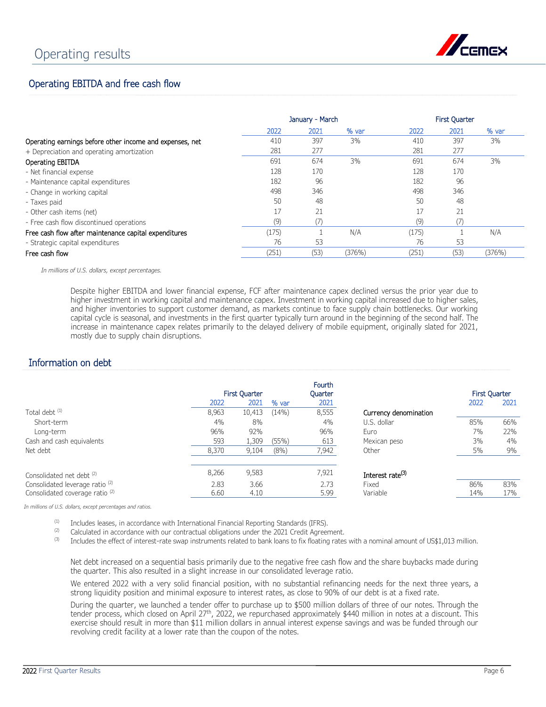

## Operating EBITDA and free cash flow

|                                                          |       | January - March |        | <b>First Quarter</b> |      |        |  |
|----------------------------------------------------------|-------|-----------------|--------|----------------------|------|--------|--|
|                                                          | 2022  | 2021            | % var  | 2022                 | 2021 | % var  |  |
| Operating earnings before other income and expenses, net | 410   | 397             | 3%     | 410                  | 397  | 3%     |  |
| + Depreciation and operating amortization                | 281   | 277             |        | 281                  | 277  |        |  |
| Operating EBITDA                                         | 691   | 674             | 3%     | 691                  | 674  | 3%     |  |
| - Net financial expense                                  | 128   | 170             |        | 128                  | 170  |        |  |
| - Maintenance capital expenditures                       | 182   | 96              |        | 182                  | 96   |        |  |
| - Change in working capital                              | 498   | 346             |        | 498                  | 346  |        |  |
| - Taxes paid                                             | 50    | 48              |        | 50                   | 48   |        |  |
| - Other cash items (net)                                 | 17    | 21              |        |                      | 21   |        |  |
| - Free cash flow discontinued operations                 | (9)   |                 |        | (9)                  |      |        |  |
| Free cash flow after maintenance capital expenditures    | (175) |                 | N/A    | (175)                |      | N/A    |  |
| - Strategic capital expenditures                         | 76    | 53              |        | 76                   | 53   |        |  |
| Free cash flow                                           | (251) | (53)            | (376%) | (251)                | (53) | (376%) |  |

*In millions of U.S. dollars, except percentages.*

Despite higher EBITDA and lower financial expense, FCF after maintenance capex declined versus the prior year due to higher investment in working capital and maintenance capex. Investment in working capital increased due to higher sales, and higher inventories to support customer demand, as markets continue to face supply chain bottlenecks. Our working capital cycle is seasonal, and investments in the first quarter typically turn around in the beginning of the second half. The increase in maintenance capex relates primarily to the delayed delivery of mobile equipment, originally slated for 2021, mostly due to supply chain disruptions.

## Information on debt

|                                            | 2022  | <b>First Quarter</b><br>2021 | % var | Fourth<br><b>Ouarter</b><br>2021 |                              | <b>First Quarter</b><br>2022 | 2021 |
|--------------------------------------------|-------|------------------------------|-------|----------------------------------|------------------------------|------------------------------|------|
| Total debt <sup>(1)</sup>                  | 8,963 | 10,413                       | (14%) | 8,555                            | Currency denomination        |                              |      |
| Short-term                                 | 4%    | 8%                           |       | 4%                               | U.S. dollar                  | 85%                          | 66%  |
| Long-term                                  | 96%   | 92%                          |       | 96%                              | Euro                         | 7%                           | 22%  |
| Cash and cash equivalents                  | 593   | 1,309                        | (55%) | 613                              | Mexican peso                 | 3%                           | 4%   |
| Net debt                                   | 8,370 | 9,104                        | (8% ) | 7,942                            | Other                        | 5%                           | 9%   |
| Consolidated net debt (2)                  | 8,266 | 9,583                        |       | 7,921                            | Interest rate <sup>(3)</sup> |                              |      |
| Consolidated leverage ratio <sup>(2)</sup> | 2.83  | 3.66                         |       | 2.73                             | Fixed                        | 86%                          | 83%  |
| Consolidated coverage ratio <sup>(2)</sup> | 6.60  | 4.10                         |       | 5.99                             | Variable                     | 14%                          | 17%  |

*In millions of U.S. dollars, except percentages and ratios.*

(1) Includes leases, in accordance with International Financial Reporting Standards (IFRS).<br>(2) Calculated in accordance with our contractual obligations under the 2021 Credit Agree

(2) Calculated in accordance with our contractual obligations under the 2021 Credit Agreement.<br>(3) Includes the effect of interest-rate swap instruments related to bank loans to fix floating rates

Includes the effect of interest-rate swap instruments related to bank loans to fix floating rates with a nominal amount of US\$1,013 million.

Net debt increased on a sequential basis primarily due to the negative free cash flow and the share buybacks made during the quarter. This also resulted in a slight increase in our consolidated leverage ratio.

We entered 2022 with a very solid financial position, with no substantial refinancing needs for the next three years, a strong liquidity position and minimal exposure to interest rates, as close to 90% of our debt is at a fixed rate.

During the quarter, we launched a tender offer to purchase up to \$500 million dollars of three of our notes. Through the tender process, which closed on April 27<sup>th</sup>, 2022, we repurchased approximately \$440 million in notes at a discount. This exercise should result in more than \$11 million dollars in annual interest expense savings and was be funded through our revolving credit facility at a lower rate than the coupon of the notes.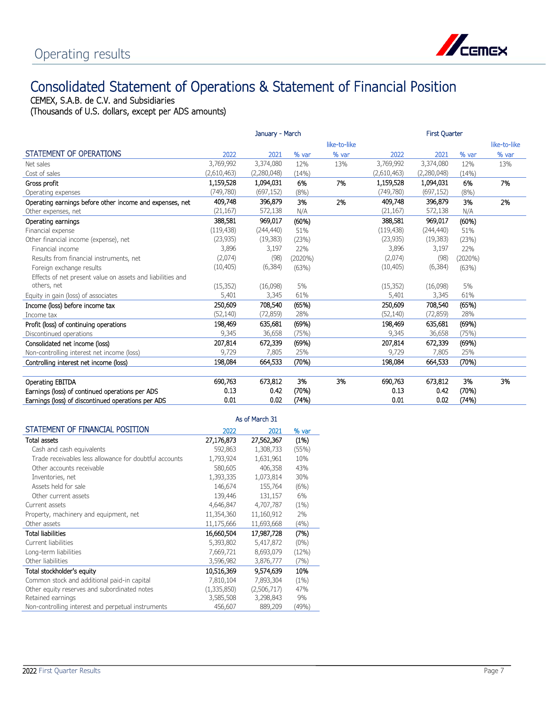

## Consolidated Statement of Operations & Statement of Financial Position

CEMEX, S.A.B. de C.V. and Subsidiaries

(Thousands of U.S. dollars, except per ADS amounts)

|                                                            |             | January - March |         |              |             |             |            |              |
|------------------------------------------------------------|-------------|-----------------|---------|--------------|-------------|-------------|------------|--------------|
|                                                            |             |                 |         | like-to-like |             |             |            | like-to-like |
| STATEMENT OF OPERATIONS                                    | 2022        | 2021            | % var   | % var        | 2022        | 2021        | % var      | % var        |
| Net sales                                                  | 3,769,992   | 3,374,080       | 12%     | 13%          | 3,769,992   | 3,374,080   | 12%        | 13%          |
| Cost of sales                                              | (2,610,463) | (2,280,048)     | (14% )  |              | (2,610,463) | (2,280,048) | (14%)      |              |
| Gross profit                                               | 1,159,528   | 1,094,031       | 6%      | 7%           | 1,159,528   | 1,094,031   | 6%         | 7%           |
| Operating expenses                                         | (749, 780)  | (697, 152)      | (8%)    |              | (749, 780)  | (697, 152)  | (8%)       |              |
| Operating earnings before other income and expenses, net   | 409,748     | 396,879         | 3%      | 2%           | 409,748     | 396,879     | 3%         | 2%           |
| Other expenses, net                                        | (21, 167)   | 572,138         | N/A     |              | (21, 167)   | 572,138     | N/A        |              |
| Operating earnings                                         | 388,581     | 969,017         | (60%)   |              | 388,581     | 969,017     | (60%)      |              |
| Financial expense                                          | (119, 438)  | (244, 440)      | 51%     |              | (119, 438)  | (244, 440)  | 51%        |              |
| Other financial income (expense), net                      | (23, 935)   | (19, 383)       | (23%)   |              | (23, 935)   | (19, 383)   | (23%)      |              |
| Financial income                                           | 3,896       | 3,197           | 22%     |              | 3,896       | 3,197       | 22%        |              |
| Results from financial instruments, net                    | (2,074)     | (98)            | (2020%) |              | (2,074)     | (98)        | $(2020\%)$ |              |
| Foreign exchange results                                   | (10, 405)   | (6, 384)        | (63%)   |              | (10, 405)   | (6, 384)    | (63%)      |              |
| Effects of net present value on assets and liabilities and |             |                 |         |              |             |             |            |              |
| others, net                                                | (15, 352)   | (16,098)        | 5%      |              | (15, 352)   | (16,098)    | 5%         |              |
| Equity in gain (loss) of associates                        | 5,401       | 3,345           | 61%     |              | 5,401       | 3,345       | 61%        |              |
| Income (loss) before income tax                            | 250,609     | 708,540         | (65%)   |              | 250,609     | 708,540     | (65%)      |              |
| Income tax                                                 | (52, 140)   | (72, 859)       | 28%     |              | (52, 140)   | (72, 859)   | 28%        |              |
| Profit (loss) of continuing operations                     | 198,469     | 635,681         | (69%)   |              | 198,469     | 635,681     | (69%)      |              |
| Discontinued operations                                    | 9,345       | 36,658          | (75%)   |              | 9,345       | 36,658      | (75%)      |              |
| Consolidated net income (loss)                             | 207,814     | 672,339         | (69%)   |              | 207,814     | 672,339     | (69%)      |              |
| Non-controlling interest net income (loss)                 | 9,729       | 7,805           | 25%     |              | 9,729       | 7,805       | 25%        |              |
| Controlling interest net income (loss)                     | 198,084     | 664,533         | (70%)   |              | 198,084     | 664,533     | (70%)      |              |
|                                                            |             |                 |         |              |             |             |            |              |
| Operating EBITDA                                           | 690,763     | 673,812         | 3%      | 3%           | 690,763     | 673,812     | 3%         | 3%           |
| Earnings (loss) of continued operations per ADS            | 0.13        | 0.42            | (70%)   |              | 0.13        | 0.42        | (70%)      |              |
| Earnings (loss) of discontinued operations per ADS         | 0.01        | 0.02            | (74%)   |              | 0.01        | 0.02        | (74%)      |              |

|                                                        |             | As of March 31 |         |
|--------------------------------------------------------|-------------|----------------|---------|
| STATEMENT OF FINANCIAL POSITION                        | 2022        | 2021           | % var   |
| <b>Total assets</b>                                    | 27,176,873  | 27,562,367     | (1%)    |
| Cash and cash equivalents                              | 592,863     | 1,308,733      | (55%)   |
| Trade receivables less allowance for doubtful accounts | 1,793,924   | 1,631,961      | 10%     |
| Other accounts receivable                              | 580,605     | 406,358        | 43%     |
| Inventories, net                                       | 1,393,335   | 1,073,814      | 30%     |
| Assets held for sale                                   | 146,674     | 155,764        | (6%)    |
| Other current assets                                   | 139,446     | 131,157        | 6%      |
| Current assets                                         | 4,646,847   | 4,707,787      | (1%)    |
| Property, machinery and equipment, net                 | 11,354,360  | 11,160,912     | 2%      |
| Other assets                                           | 11,175,666  | 11,693,668     | (4% )   |
| <b>Total liabilities</b>                               | 16,660,504  | 17,987,728     | (7%)    |
| Current liabilities                                    | 5,393,802   | 5,417,872      | $(0\%)$ |
| Long-term liabilities                                  | 7,669,721   | 8,693,079      | (12%)   |
| Other liabilities                                      | 3,596,982   | 3,876,777      | (7%)    |
| Total stockholder's equity                             | 10.516,369  | 9,574,639      | 10%     |
| Common stock and additional paid-in capital            | 7,810,104   | 7,893,304      | (1%)    |
| Other equity reserves and subordinated notes           | (1,335,850) | (2,506,717)    | 47%     |
| Retained earnings                                      | 3,585,508   | 3,298,843      | 9%      |
| Non-controlling interest and perpetual instruments     | 456,607     | 889,209        | (49%)   |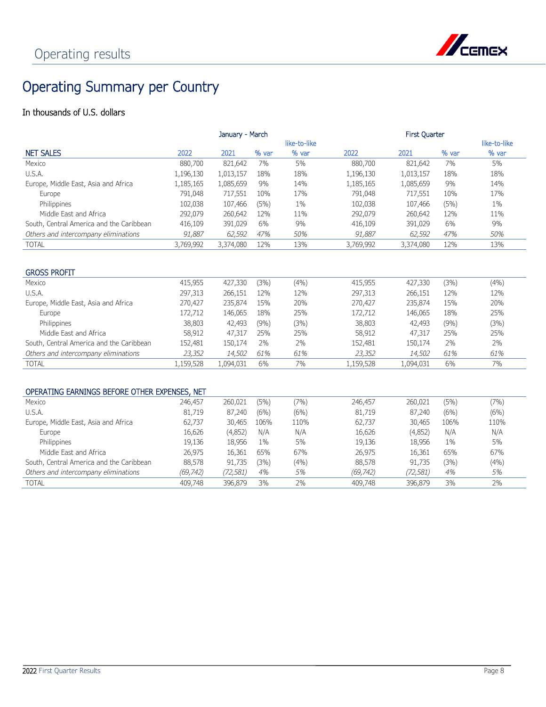

## Operating Summary per Country

## In thousands of U.S. dollars

|                                               |           | January - March |       |              |           | <b>First Quarter</b> |       |              |
|-----------------------------------------------|-----------|-----------------|-------|--------------|-----------|----------------------|-------|--------------|
|                                               |           |                 |       | like-to-like |           |                      |       | like-to-like |
| <b>NET SALES</b>                              | 2022      | 2021            | % var | % var        | 2022      | 2021                 | % var | % var        |
| Mexico                                        | 880,700   | 821,642         | 7%    | 5%           | 880,700   | 821,642              | 7%    | 5%           |
| U.S.A.                                        | 1,196,130 | 1,013,157       | 18%   | 18%          | 1,196,130 | 1,013,157            | 18%   | 18%          |
| Europe, Middle East, Asia and Africa          | 1,185,165 | 1,085,659       | 9%    | 14%          | 1,185,165 | 1,085,659            | 9%    | 14%          |
| Europe                                        | 791,048   | 717,551         | 10%   | 17%          | 791,048   | 717,551              | 10%   | 17%          |
| Philippines                                   | 102,038   | 107,466         | (5%)  | $1\%$        | 102,038   | 107,466              | (5%)  | $1\%$        |
| Middle Fast and Africa                        | 292,079   | 260,642         | 12%   | 11%          | 292,079   | 260,642              | 12%   | 11%          |
| South, Central America and the Caribbean      | 416,109   | 391,029         | 6%    | 9%           | 416,109   | 391,029              | 6%    | 9%           |
| Others and intercompany eliminations          | 91,887    | 62,592          | 47%   | 50%          | 91,887    | 62,592               | 47%   | 50%          |
| <b>TOTAL</b>                                  | 3,769,992 | 3,374,080       | 12%   | 13%          | 3,769,992 | 3,374,080            | 12%   | 13%          |
|                                               |           |                 |       |              |           |                      |       |              |
|                                               |           |                 |       |              |           |                      |       |              |
| <b>GROSS PROFIT</b>                           |           |                 |       |              |           |                      |       |              |
| Mexico                                        | 415,955   | 427,330         | (3%)  | (4% )        | 415,955   | 427,330              | (3%)  | (4% )        |
| U.S.A.                                        | 297,313   | 266,151         | 12%   | 12%          | 297,313   | 266,151              | 12%   | 12%          |
| Europe, Middle East, Asia and Africa          | 270,427   | 235,874         | 15%   | 20%          | 270,427   | 235,874              | 15%   | 20%          |
| Europe                                        | 172,712   | 146,065         | 18%   | 25%          | 172,712   | 146,065              | 18%   | 25%          |
| Philippines                                   | 38,803    | 42,493          | (9% ) | (3%)         | 38,803    | 42,493               | (9% ) | (3%)         |
| Middle East and Africa                        | 58,912    | 47,317          | 25%   | 25%          | 58,912    | 47,317               | 25%   | 25%          |
| South, Central America and the Caribbean      | 152,481   | 150,174         | 2%    | 2%           | 152,481   | 150,174              | 2%    | 2%           |
| Others and intercompany eliminations          | 23,352    | 14,502          | 61%   | 61%          | 23,352    | 14,502               | 61%   | 61%          |
| <b>TOTAL</b>                                  | 1,159,528 | 1,094,031       | 6%    | 7%           | 1,159,528 | 1,094,031            | 6%    | 7%           |
|                                               |           |                 |       |              |           |                      |       |              |
|                                               |           |                 |       |              |           |                      |       |              |
| OPERATING EARNINGS BEFORE OTHER EXPENSES, NET |           |                 |       |              |           |                      |       |              |
| Mexico                                        | 246,457   | 260,021         | (5%)  | (7%)         | 246,457   | 260,021              | (5%)  | (7%)         |
| U.S.A.                                        | 81,719    | 87,240          | (6%)  | (6%)         | 81,719    | 87,240               | (6%)  | (6%)         |
|                                               |           |                 |       |              |           |                      |       |              |

| U.S.A.                                   | 81,719    | 87,240  | (6%)  | (6%)  | 81,719    | 87,240   | (6%)  | (6%)  |
|------------------------------------------|-----------|---------|-------|-------|-----------|----------|-------|-------|
| Europe, Middle East, Asia and Africa     | 62,737    | 30,465  | 106%  | 110%  | 62.737    | 30,465   | 106%  | 110%  |
| Europe                                   | 16,626    | (4,852) | N/A   | N/A   | 16,626    | (4,852)  | N/A   | N/A   |
| Philippines                              | 19,136    | 18,956  | $1\%$ | 5%    | 19,136    | 18,956   | $1\%$ | 5%    |
| Middle East and Africa                   | 26.975    | 16,361  | 65%   | 67%   | 26.975    | 16,361   | 65%   | 67%   |
| South, Central America and the Caribbean | 88,578    | 91.735  | (3%)  | (4% ) | 88,578    | 91.735   | (3%)  | (4% ) |
| Others and intercompany eliminations     | (69, 742) | 72,581, | 4%    | 5%    | (69, 742) | (72,581) | 4%    | 5%    |
| TOTAL                                    | 409,748   | 396,879 | 3%    | 2%    | 409,748   | 396.879  | 3%    | 2%    |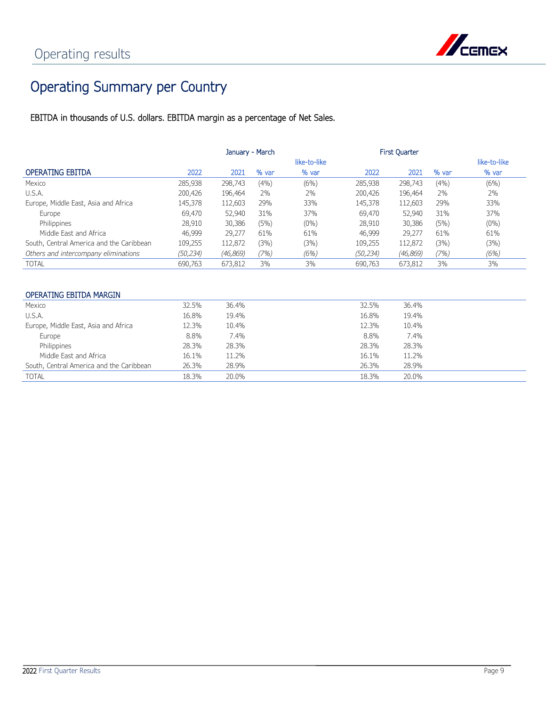

## Operating Summary per Country

EBITDA in thousands of U.S. dollars. EBITDA margin as a percentage of Net Sales.

|                                          | January - March |           |       |              | <b>First Quarter</b> |          |       |              |
|------------------------------------------|-----------------|-----------|-------|--------------|----------------------|----------|-------|--------------|
|                                          |                 |           |       | like-to-like |                      |          |       | like-to-like |
| <b>OPERATING EBITDA</b>                  | 2022            | 2021      | % var | % var        | 2022                 | 2021     | % var | % var        |
| Mexico                                   | 285,938         | 298,743   | (4% ) | (6%)         | 285,938              | 298,743  | (4% ) | (6%)         |
| U.S.A.                                   | 200,426         | 196,464   | 2%    | 2%           | 200,426              | 196,464  | 2%    | 2%           |
| Europe, Middle East, Asia and Africa     | 145,378         | 112,603   | 29%   | 33%          | 145,378              | 112,603  | 29%   | 33%          |
| Europe                                   | 69,470          | 52,940    | 31%   | 37%          | 69,470               | 52,940   | 31%   | 37%          |
| Philippines                              | 28,910          | 30,386    | (5%)  | $(0\%)$      | 28,910               | 30,386   | (5%)  | $(0\%)$      |
| Middle Fast and Africa                   | 46,999          | 29,277    | 61%   | 61%          | 46,999               | 29,277   | 61%   | 61%          |
| South, Central America and the Caribbean | 109,255         | 112,872   | (3%)  | (3%)         | 109,255              | 112,872  | (3%)  | (3%)         |
| Others and intercompany eliminations     | (50, 234)       | (46, 869) | (7%)  | (6%)         | (50, 234)            | (46,869) | (7%)  | (6%)         |
| TOTAL                                    | 690,763         | 673,812   | 3%    | 3%           | 690,763              | 673,812  | 3%    | 3%           |

### OPERATING EBITDA MARGIN

| Mexico                                   | 32.5% | 36.4% | 32.5% | 36.4% |
|------------------------------------------|-------|-------|-------|-------|
| U.S.A.                                   | 16.8% | 19.4% | 16.8% | 19.4% |
| Europe, Middle East, Asia and Africa     | 12.3% | 10.4% | 12.3% | 10.4% |
| Europe                                   | 8.8%  | 7.4%  | 8.8%  | 7.4%  |
| Philippines                              | 28.3% | 28.3% | 28.3% | 28.3% |
| Middle East and Africa                   | 16.1% | 11.2% | 16.1% | 11.2% |
| South, Central America and the Caribbean | 26.3% | 28.9% | 26.3% | 28.9% |
| <b>TOTAL</b>                             | 18.3% | 20.0% | 18.3% | 20.0% |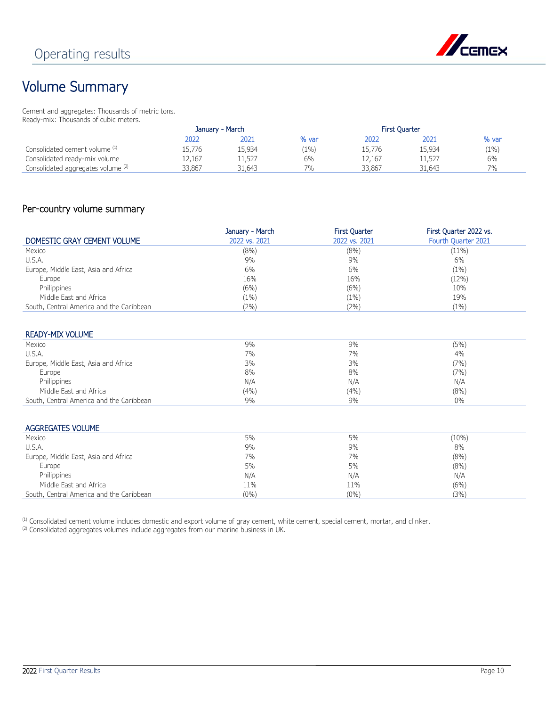

## Volume Summary

Cement and aggregates: Thousands of metric tons. Ready-mix: Thousands of cubic meters.

|                                    | January - March |        |       | <b>First Quarter</b> |        |         |
|------------------------------------|-----------------|--------|-------|----------------------|--------|---------|
|                                    | 2022            | 2021   | % var | 2022                 | 2021   | % var   |
| Consolidated cement volume (1)     | 15,776          | 15,934 | (1%)  | 15,776               | 15,934 | $(1\%)$ |
| Consolidated ready-mix volume      | 12,167          | 11,527 | 6%    | 12,167               | 11,527 | 6%      |
| Consolidated aggregates volume (2) | 33.867          | 31,643 | $7\%$ | 33,867               | 31,643 | 7%      |

## Per-country volume summary

|                                          | January - March | <b>First Quarter</b> | First Quarter 2022 vs. |
|------------------------------------------|-----------------|----------------------|------------------------|
| DOMESTIC GRAY CEMENT VOLUME              | 2022 vs. 2021   | 2022 vs. 2021        | Fourth Quarter 2021    |
| Mexico                                   | $(8\%)$         | (8%)                 | $(11\%)$               |
| U.S.A.                                   | 9%              | 9%                   | 6%                     |
| Europe, Middle East, Asia and Africa     | 6%              | 6%                   | $(1\%)$                |
| Europe                                   | 16%             | 16%                  | (12%)                  |
| Philippines                              | (6%)            | (6%)                 | 10%                    |
| Middle East and Africa                   | (1%)            | (1%)                 | 19%                    |
| South, Central America and the Caribbean | $2\%$           | (2%)                 | $(1\%)$                |

### READY-MIX VOLUME

| Mexico                                   | 9%    | 9%   | (5%)  |
|------------------------------------------|-------|------|-------|
| U.S.A.                                   | 7%    | 7%   | 4%    |
| Europe, Middle East, Asia and Africa     | 3%    | 3%   | (7%)  |
| Europe                                   | 8%    | 8%   | (7%)  |
| Philippines                              | N/A   | N/A  | N/A   |
| Middle East and Africa                   | (4% ) | (4%) | (8% ) |
| South, Central America and the Caribbean | 9%    | 9%   | 0%    |

#### AGGREGATES VOLUME

| Mexico                                   | 5%      | 5%      | $(10\%)$ |
|------------------------------------------|---------|---------|----------|
| U.S.A.                                   | 9%      | 9%      | 8%       |
| Europe, Middle East, Asia and Africa     | 7%      | 7%      | (8% )    |
| Europe                                   | 5%      | 5%      | (8% )    |
| Philippines                              | N/A     | N/A     | N/A      |
| Middle East and Africa                   | 11%     | 11%     | (6%)     |
| South, Central America and the Caribbean | $(0\%)$ | $(0\%)$ | (3%)     |
|                                          |         |         |          |

(1) Consolidated cement volume includes domestic and export volume of gray cement, white cement, special cement, mortar, and clinker.

(2) Consolidated aggregates volumes include aggregates from our marine business in UK.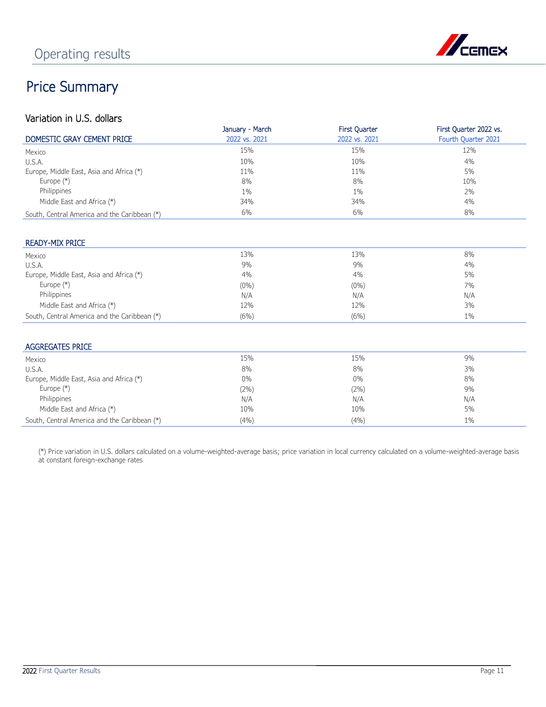

## Price Summary

## Variation in U.S. dollars

|                                              | January - March | <b>First Quarter</b> | First Quarter 2022 vs. |
|----------------------------------------------|-----------------|----------------------|------------------------|
| DOMESTIC GRAY CEMENT PRICE                   | 2022 vs. 2021   | 2022 vs. 2021        | Fourth Quarter 2021    |
| Mexico                                       | 15%             | 15%                  | 12%                    |
| U.S.A.                                       | 10%             | 10%                  | 4%                     |
| Europe, Middle East, Asia and Africa (*)     | 11%             | 11%                  | 5%                     |
| Europe $(*)$                                 | 8%              | 8%                   | 10%                    |
| Philippines                                  | $1\%$           | $1\%$                | 2%                     |
| Middle East and Africa (*)                   | 34%             | 34%                  | 4%                     |
| South, Central America and the Caribbean (*) | 6%              | 6%                   | 8%                     |

### READY-MIX PRICE

| Mexico                                       | 13%     | 13%     | 8%    |
|----------------------------------------------|---------|---------|-------|
| U.S.A.                                       | 9%      | 9%      | 4%    |
| Europe, Middle East, Asia and Africa (*)     | $4\%$   | 4%      | 5%    |
| Europe $(*)$                                 | $(0\%)$ | $(0\%)$ | 7%    |
| Philippines                                  | N/A     | N/A     | N/A   |
| Middle East and Africa (*)                   | 12%     | 12%     | 3%    |
| South, Central America and the Caribbean (*) | (6%)    | (6%)    | $1\%$ |

### AGGREGATES PRICE

| Mexico                                       | 15%     | 15%     | 9%    |
|----------------------------------------------|---------|---------|-------|
| U.S.A.                                       | 8%      | 8%      | 3%    |
| Europe, Middle East, Asia and Africa (*)     | $0\%$   | $0\%$   | 8%    |
| Europe $(*)$                                 | $(2\%)$ | $(2\%)$ | 9%    |
| Philippines                                  | N/A     | N/A     | N/A   |
| Middle East and Africa (*)                   | 10%     | 10%     | 5%    |
| South, Central America and the Caribbean (*) | (4%)    | (4% )   | $1\%$ |

(\*) Price variation in U.S. dollars calculated on a volume-weighted-average basis; price variation in local currency calculated on a volume-weighted-average basis at constant foreign-exchange rates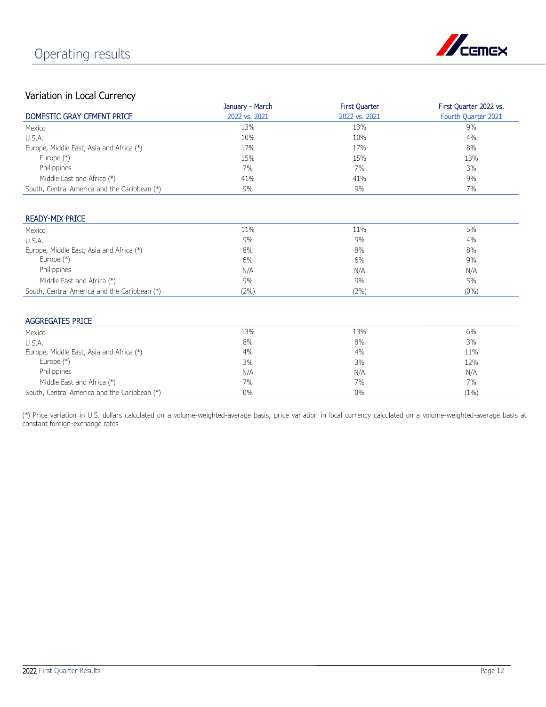

## Variation in Local Currency

| $\frac{1}{2}$                                | January - March |                                       |                                               |
|----------------------------------------------|-----------------|---------------------------------------|-----------------------------------------------|
| DOMESTIC GRAY CEMENT PRICE                   | 2022 vs. 2021   | <b>First Quarter</b><br>2022 vs. 2021 | First Quarter 2022 vs.<br>Fourth Quarter 2021 |
|                                              |                 |                                       |                                               |
| Mexico                                       | 13%             | 13%                                   | 9%                                            |
| U.S.A.                                       | 10%             | 10%                                   | 4%                                            |
| Europe, Middle East, Asia and Africa (*)     | 17%             | 17%                                   | 8%                                            |
| Europe $(*)$                                 | 15%             | 15%                                   | 13%                                           |
| Philippines                                  | 7%              | 7%                                    | 3%                                            |
| Middle East and Africa (*)                   | 41%             | 41%                                   | 9%                                            |
| South, Central America and the Caribbean (*) | 9%              | 9%                                    | 7%                                            |
|                                              |                 |                                       |                                               |
| <b>READY-MIX PRICE</b>                       |                 |                                       |                                               |
| Mexico                                       | 11%             | 11%                                   | 5%                                            |
| U.S.A.                                       | 9%              | 9%                                    | 4%                                            |
| Europe, Middle East, Asia and Africa (*)     | 8%              | 8%                                    | 8%                                            |
| Europe $(*)$                                 | 6%              | 6%                                    | 9%                                            |
| Philippines                                  | N/A             | N/A                                   | N/A                                           |
| Middle East and Africa (*)                   | 9%              | 9%                                    | 5%                                            |
| South, Central America and the Caribbean (*) | (2%)            | (2%)                                  | $(0\%)$                                       |
|                                              |                 |                                       |                                               |
| <b>AGGREGATES PRICE</b>                      |                 |                                       |                                               |
| Mexico                                       | 13%             | 13%                                   | 6%                                            |
| U.S.A.                                       | 8%              | 8%                                    | 3%                                            |
| Europe, Middle East, Asia and Africa (*)     | 4%              | 4%                                    | 11%                                           |
| Europe $(*)$                                 | 3%              | 3%                                    | 12%                                           |
| Philippines                                  | N/A             | N/A                                   | N/A                                           |
| Middle East and Africa (*)                   | 7%              | 7%                                    | 7%                                            |
| South, Central America and the Caribbean (*) | $0\%$           | 0%                                    | $(1\%)$                                       |

(\*) Price variation in U.S. dollars calculated on a volume-weighted-average basis; price variation in local currency calculated on a volume-weighted-average basis at constant foreign-exchange rates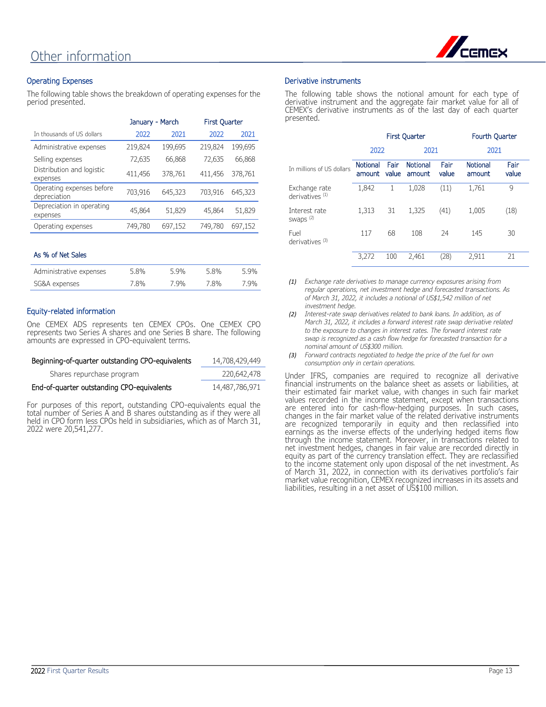

## Operating Expenses

The following table shows the breakdown of operating expenses for the period presented.

|                                           | January - March |         | <b>First Quarter</b> |         |
|-------------------------------------------|-----------------|---------|----------------------|---------|
| In thousands of US dollars                | 2022            | 2021    | 2022                 | 2021    |
| Administrative expenses                   | 219,824         | 199,695 | 219,824              | 199,695 |
| Selling expenses                          | 72,635          | 66,868  | 72,635               | 66,868  |
| Distribution and logistic<br>expenses     | 411,456         | 378,761 | 411,456              | 378,761 |
| Operating expenses before<br>depreciation | 703,916         | 645,323 | 703,916              | 645,323 |
| Depreciation in operating<br>expenses     | 45,864          | 51,829  | 45,864               | 51,829  |
| Operating expenses                        | 749,780         | 697,152 | 749,780              | 697,152 |

#### As % of Net Sales

| Administrative expenses | 5.8% | 5.9% | 5.8% | 5.9% |
|-------------------------|------|------|------|------|
| SG&A expenses           | 7.8% | 7.9% | 7.8% | 7.9% |

### Equity-related information

One CEMEX ADS represents ten CEMEX CPOs. One CEMEX CPO represents two Series A shares and one Series B share. The following amounts are expressed in CPO-equivalent terms.

| Beginning-of-quarter outstanding CPO-equivalents | 14,708,429,449 |
|--------------------------------------------------|----------------|
| Shares repurchase program                        | 220,642,478    |
| End-of-quarter outstanding CPO-equivalents       | 14,487,786,971 |

For purposes of this report, outstanding CPO-equivalents equal the total number of Series A and B shares outstanding as if they were all held in CPO form less CPOs held in subsidiaries, which as of March 31, 2022 were 20,541,277.

### Derivative instruments

The following table shows the notional amount for each type of derivative instrument and the aggregate fair market value for all of CEMEX's derivative instruments as of the last day of each quarter presented.

|                                             | <b>First Quarter</b>      |               |                           | <b>Fourth Quarter</b> |                           |               |
|---------------------------------------------|---------------------------|---------------|---------------------------|-----------------------|---------------------------|---------------|
|                                             | 2022                      |               | 2021                      |                       | 2021                      |               |
| In millions of US dollars                   | <b>Notional</b><br>amount | Fair<br>value | <b>Notional</b><br>amount | Fair<br>value         | <b>Notional</b><br>amount | Fair<br>value |
| Exchange rate<br>derivatives <sup>(1)</sup> | 1,842                     | 1             | 1,028                     | (11)                  | 1,761                     | 9             |
| Interest rate<br>swaps <sup>(2)</sup>       | 1,313                     | 31            | 1,325                     | (41)                  | 1,005                     | (18)          |
| Fuel<br>derivatives <sup>(3)</sup>          | 117                       | 68            | 108                       | 24                    | 145                       | 30            |
|                                             | 3,272                     | 100           | 2,461                     | (28)                  | 2,911                     | 21            |

*(1) Exchange rate derivatives to manage currency exposures arising from regular operations, net investment hedge and forecasted transactions. As of March 31, 2022, it includes a notional of US\$1,542 million of net investment hedge.*

- *(2) Interest-rate swap derivatives related to bank loans. In addition, as of March 31, 2022, it includes a forward interest rate swap derivative related to the exposure to changes in interest rates. The forward interest rate swap is recognized as a cash flow hedge for forecasted transaction for a nominal amount of US\$300 million.*
- *(3) Forward contracts negotiated to hedge the price of the fuel for own consumption only in certain operations.*

Under IFRS, companies are required to recognize all derivative financial instruments on the balance sheet as assets or liabilities, at their estimated fair market value, with changes in such fair market values recorded in the income statement, except when transactions are entered into for cash-flow-hedging purposes. In such cases, changes in the fair market value of the related derivative instruments are recognized temporarily in equity and then reclassified into earnings as the inverse effects of the underlying hedged items flow through the income statement. Moreover, in transactions related to net investment hedges, changes in fair value are recorded directly in equity as part of the currency translation effect. They are reclassified to the income statement only upon disposal of the net investment. As of March 31, 2022, in connection with its derivatives portfolio's fair market value recognition, CEMEX recognized increases in its assets and liabilities, resulting in a net asset of US\$100 million.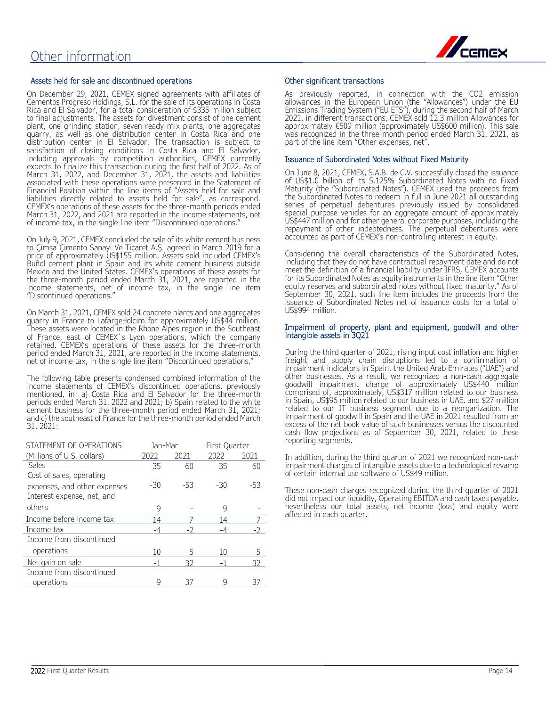

#### Assets held for sale and discontinued operations

On December 29, 2021, CEMEX signed agreements with affiliates of Cementos Progreso Holdings, S.L. for the sale of its operations in Costa Rica and El Salvador, for a total consideration of \$335 million subject to final adjustments. The assets for divestment consist of one cement plant, one grinding station, seven ready-mix plants, one aggregates quarry, as well as one distribution center in Costa Rica and one distribution center in El Salvador. The transaction is subject to satisfaction of closing conditions in Costa Rica and El Salvador, including approvals by competition authorities, CEMEX currently expects to finalize this transaction during the first half of 2022. As of March 31, 2022, and December 31, 2021, the assets and liabilities associated with these operations were presented in the Statement of Financial Position within the line items of "Assets held for sale and liabilities directly related to assets held for sale", as correspond. CEMEX's operations of these assets for the three-month periods ended March 31, 2022, and 2021 are reported in the income statements, net of income tax, in the single line item "Discontinued operations."

On July 9, 2021, CEMEX concluded the sale of its white cement business to Çimsa Çimento Sanayi Ve Ticaret A.Ş. agreed in March 2019 for a price of approximately US\$155 million. Assets sold included CEMEX's Buñol cement plant in Spain and its white cement business outside Mexico and the United States. CEMEX's operations of these assets for the three-month period ended March 31, 2021, are reported in the income statements, net of income tax, in the single line item "Discontinued operations."

On March 31, 2021, CEMEX sold 24 concrete plants and one aggregates quarry in France to LafargeHolcim for approximately US\$44 million. These assets were located in the Rhone Alpes region in the Southeast of France, east of CEMEX´s Lyon operations, which the company retained. CEMEX's operations of these assets for the three-month period ended March 31, 2021, are reported in the income statements, net of income tax, in the single line item "Discontinued operations."

The following table presents condensed combined information of the income statements of CEMEX's discontinued operations, previously mentioned, in: a) Costa Rica and El Salvador for the three-month periods ended March 31, 2022 and 2021; b) Spain related to the white cement business for the three-month period ended March 31, 2021; and c) the southeast of France for the three-month period ended March 31, 2021:

| STATEMENT OF OPERATIONS      | Jan-Mar |      | First Quarter |       |
|------------------------------|---------|------|---------------|-------|
| (Millions of U.S. dollars)   | 2022    | 2021 | 2022          | 2021  |
| Sales                        | 35      | 60   | 35            | 60    |
| Cost of sales, operating     |         |      |               |       |
| expenses, and other expenses | $-30$   | -53  | $-30$         | $-53$ |
| Interest expense, net, and   |         |      |               |       |
| others                       | 9       |      | 9             |       |
| Income before income tax     | 14      |      | 14            |       |
| Income tax                   |         |      | -4            |       |
| Income from discontinued     |         |      |               |       |
| operations                   | 10      | 5    | 10            | 5     |
| Net gain on sale             |         | 32   |               | 32    |
| Income from discontinued     |         |      |               |       |
| operations                   | q       | 37   | 9             | 37    |

#### Other significant transactions

As previously reported, in connection with the CO2 emission allowances in the European Union (the "Allowances") under the EU Emissions Trading System ("EU ETS"), during the second half of March 2021, in different transactions, CEMEX sold 12.3 million Allowances for approximately €509 million (approximately US\$600 million). This sale was recognized in the three-month period ended March 31, 2021, as part of the line item "Other expenses, net".

#### Issuance of Subordinated Notes without Fixed Maturity

On June 8, 2021, CEMEX, S.A.B. de C.V. successfully closed the issuance of US\$1.0 billion of its 5.125% Subordinated Notes with no Fixed Maturity (the "Subordinated Notes"). CEMEX used the proceeds from the Subordinated Notes to redeem in full in June 2021 all outstanding series of perpetual debentures previously issued by consolidated special purpose vehicles for an aggregate amount of approximately US\$447 million and for other general corporate purposes, including the repayment of other indebtedness. The perpetual debentures were accounted as part of CEMEX's non-controlling interest in equity.

Considering the overall characteristics of the Subordinated Notes, including that they do not have contractual repayment date and do not meet the definition of a financial liability under IFRS, CEMEX accounts for its Subordinated Notes as equity instruments in the line item "Other equity reserves and subordinated notes without fixed maturity." As of September 30, 2021, such line item includes the proceeds from the issuance of Subordinated Notes net of issuance costs for a total of US\$994 million.

#### Impairment of property, plant and equipment, goodwill and other intangible assets in 3Q21

During the third quarter of 2021, rising input cost inflation and higher freight and supply chain disruptions led to a confirmation of impairment indicators in Spain, the United Arab Emirates ("UAE") and other businesses. As a result, we recognized a non-cash aggregate goodwill impairment charge of approximately US\$440 million comprised of, approximately, US\$317 million related to our business in Spain, US\$96 million related to our business in UAE, and \$27 million related to our IT business segment due to a reorganization. The impairment of goodwill in Spain and the UAE in 2021 resulted from an excess of the net book value of such businesses versus the discounted cash flow projections as of September 30, 2021, related to these reporting segments.

In addition, during the third quarter of 2021 we recognized non-cash impairment charges of intangible assets due to a technological revamp of certain internal use software of US\$49 million.

These non-cash charges recognized during the third quarter of 2021 did not impact our liquidity, Operating EBITDA and cash taxes payable, nevertheless our total assets, net income (loss) and equity were affected in each quarter.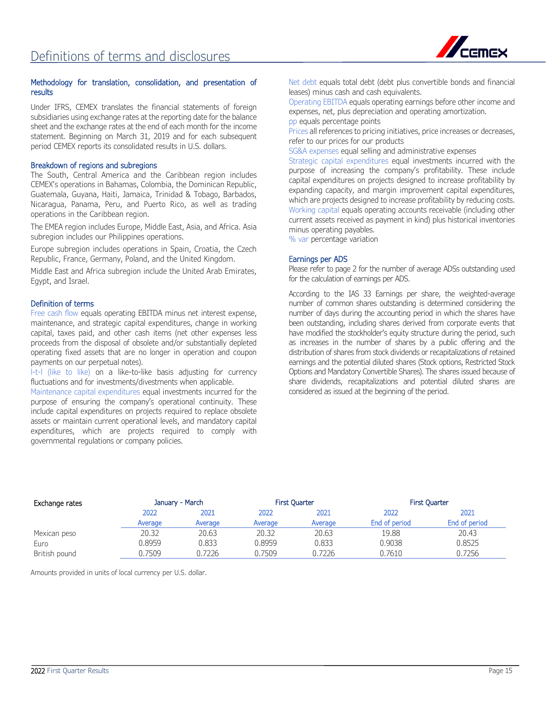

#### Methodology for translation, consolidation, and presentation of results

Under IFRS, CEMEX translates the financial statements of foreign subsidiaries using exchange rates at the reporting date for the balance sheet and the exchange rates at the end of each month for the income statement. Beginning on March 31, 2019 and for each subsequent period CEMEX reports its consolidated results in U.S. dollars.

#### Breakdown of regions and subregions

The South, Central America and the Caribbean region includes CEMEX's operations in Bahamas, Colombia, the Dominican Republic, Guatemala, Guyana, Haiti, Jamaica, Trinidad & Tobago, Barbados, Nicaragua, Panama, Peru, and Puerto Rico, as well as trading operations in the Caribbean region.

The EMEA region includes Europe, Middle East, Asia, and Africa. Asia subregion includes our Philippines operations.

Europe subregion includes operations in Spain, Croatia, the Czech Republic, France, Germany, Poland, and the United Kingdom.

Middle East and Africa subregion include the United Arab Emirates, Egypt, and Israel.

### Definition of terms

Free cash flow equals operating EBITDA minus net interest expense, maintenance, and strategic capital expenditures, change in working capital, taxes paid, and other cash items (net other expenses less proceeds from the disposal of obsolete and/or substantially depleted operating fixed assets that are no longer in operation and coupon payments on our perpetual notes).

l-t-l (like to like) on a like-to-like basis adjusting for currency fluctuations and for investments/divestments when applicable.

Maintenance capital expenditures equal investments incurred for the purpose of ensuring the company's operational continuity. These include capital expenditures on projects required to replace obsolete assets or maintain current operational levels, and mandatory capital expenditures, which are projects required to comply with governmental regulations or company policies.

Net debt equals total debt (debt plus convertible bonds and financial leases) minus cash and cash equivalents.

Operating EBITDA equals operating earnings before other income and expenses, net, plus depreciation and operating amortization. pp equals percentage points

Prices all references to pricing initiatives, price increases or decreases, refer to our prices for our products

SG&A expenses equal selling and administrative expenses

Strategic capital expenditures equal investments incurred with the purpose of increasing the company's profitability. These include capital expenditures on projects designed to increase profitability by expanding capacity, and margin improvement capital expenditures, which are projects designed to increase profitability by reducing costs. Working capital equals operating accounts receivable (including other current assets received as payment in kind) plus historical inventories minus operating payables.

% var percentage variation

#### Earnings per ADS

Please refer to page 2 for the number of average ADSs outstanding used for the calculation of earnings per ADS.

According to the IAS 33 Earnings per share, the weighted-average number of common shares outstanding is determined considering the number of days during the accounting period in which the shares have been outstanding, including shares derived from corporate events that have modified the stockholder's equity structure during the period, such as increases in the number of shares by a public offering and the distribution of shares from stock dividends or recapitalizations of retained earnings and the potential diluted shares (Stock options, Restricted Stock Options and Mandatory Convertible Shares). The shares issued because of share dividends, recapitalizations and potential diluted shares are considered as issued at the beginning of the period.

| Exchange rates | January - March |         |         | <b>First Quarter</b> | <b>First Quarter</b> |               |
|----------------|-----------------|---------|---------|----------------------|----------------------|---------------|
|                | 2022            | 2021    | 2022    | 2021                 | 2022                 | 2021          |
|                | Average         | Average | Average | Average              | End of period        | End of period |
| Mexican peso   | 20.32           | 20.63   | 20.32   | 20.63                | 19.88                | 20.43         |
| Euro           | 0.8959          | 0.833   | 0.8959  | 0.833                | 0.9038               | 0.8525        |
| British pound  | 0.7509          | 0.7226  | 0.7509  | 0.7226               | 0.7610               | 0.7256        |

Amounts provided in units of local currency per U.S. dollar.